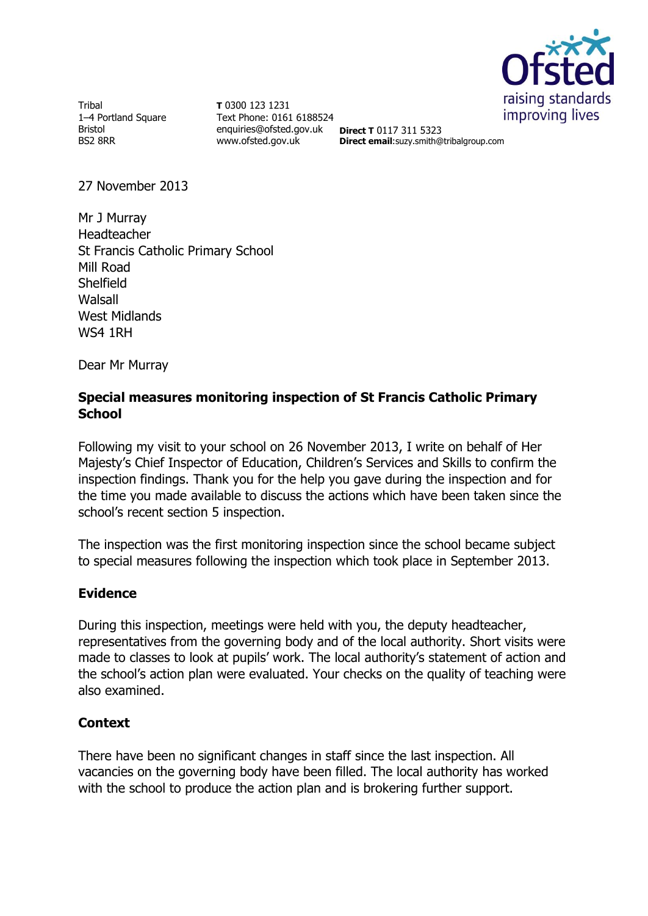

**Tribal** 1–4 Portland Square Bristol BS2 8RR

**T** 0300 123 1231 Text Phone: 0161 6188524 enquiries@ofsted.gov.uk **Direct T** 0117 311 5323 www.ofsted.gov.uk

**Direct email**:suzy.smith@tribalgroup.com

27 November 2013

Mr J Murray Headteacher St Francis Catholic Primary School Mill Road Shelfield Walsall West Midlands WS4 1RH

Dear Mr Murray

## **Special measures monitoring inspection of St Francis Catholic Primary School**

Following my visit to your school on 26 November 2013, I write on behalf of Her Majesty's Chief Inspector of Education, Children's Services and Skills to confirm the inspection findings. Thank you for the help you gave during the inspection and for the time you made available to discuss the actions which have been taken since the school's recent section 5 inspection.

The inspection was the first monitoring inspection since the school became subject to special measures following the inspection which took place in September 2013.

## **Evidence**

During this inspection, meetings were held with you, the deputy headteacher, representatives from the governing body and of the local authority. Short visits were made to classes to look at pupils' work. The local authority's statement of action and the school's action plan were evaluated. Your checks on the quality of teaching were also examined.

## **Context**

There have been no significant changes in staff since the last inspection. All vacancies on the governing body have been filled. The local authority has worked with the school to produce the action plan and is brokering further support.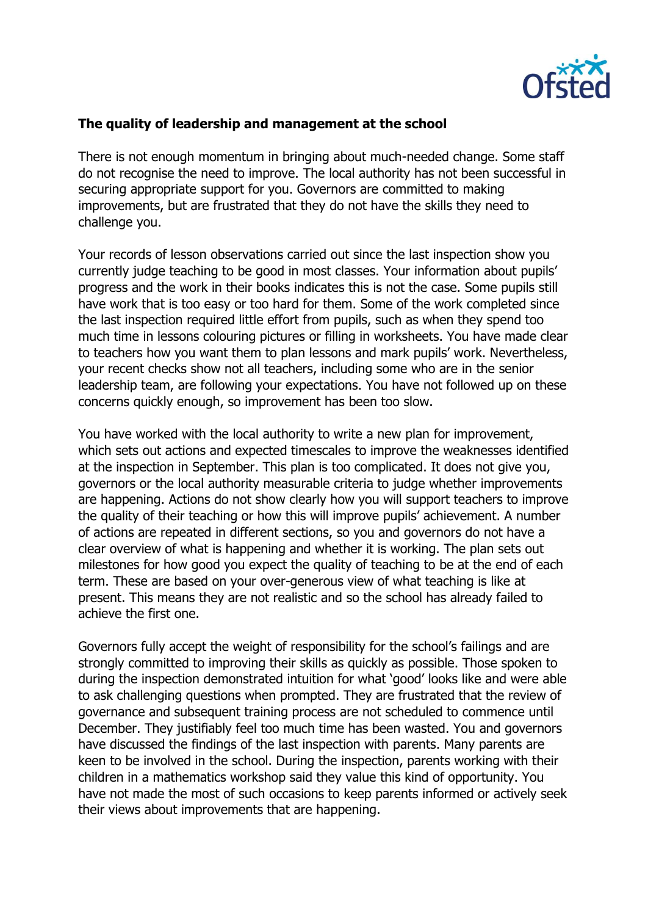

## **The quality of leadership and management at the school**

There is not enough momentum in bringing about much-needed change. Some staff do not recognise the need to improve. The local authority has not been successful in securing appropriate support for you. Governors are committed to making improvements, but are frustrated that they do not have the skills they need to challenge you.

Your records of lesson observations carried out since the last inspection show you currently judge teaching to be good in most classes. Your information about pupils' progress and the work in their books indicates this is not the case. Some pupils still have work that is too easy or too hard for them. Some of the work completed since the last inspection required little effort from pupils, such as when they spend too much time in lessons colouring pictures or filling in worksheets. You have made clear to teachers how you want them to plan lessons and mark pupils' work. Nevertheless, your recent checks show not all teachers, including some who are in the senior leadership team, are following your expectations. You have not followed up on these concerns quickly enough, so improvement has been too slow.

You have worked with the local authority to write a new plan for improvement, which sets out actions and expected timescales to improve the weaknesses identified at the inspection in September. This plan is too complicated. It does not give you, governors or the local authority measurable criteria to judge whether improvements are happening. Actions do not show clearly how you will support teachers to improve the quality of their teaching or how this will improve pupils' achievement. A number of actions are repeated in different sections, so you and governors do not have a clear overview of what is happening and whether it is working. The plan sets out milestones for how good you expect the quality of teaching to be at the end of each term. These are based on your over-generous view of what teaching is like at present. This means they are not realistic and so the school has already failed to achieve the first one.

Governors fully accept the weight of responsibility for the school's failings and are strongly committed to improving their skills as quickly as possible. Those spoken to during the inspection demonstrated intuition for what 'good' looks like and were able to ask challenging questions when prompted. They are frustrated that the review of governance and subsequent training process are not scheduled to commence until December. They justifiably feel too much time has been wasted. You and governors have discussed the findings of the last inspection with parents. Many parents are keen to be involved in the school. During the inspection, parents working with their children in a mathematics workshop said they value this kind of opportunity. You have not made the most of such occasions to keep parents informed or actively seek their views about improvements that are happening.